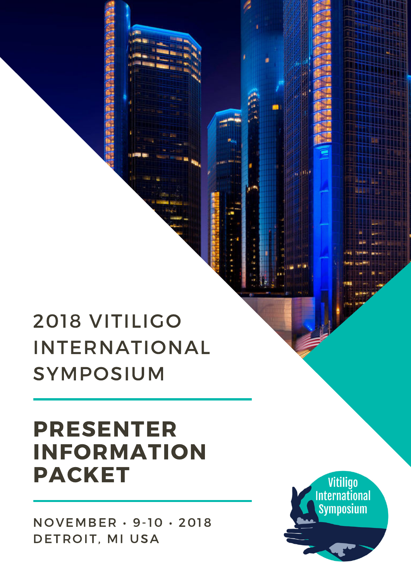NOVEMBER • 9-10 • 2018 DETROIT, MI USA

# PRESENTER INFORMATION PACKET

# 2018 VITILIGO INTERNATIONAL SYMPOSIUM

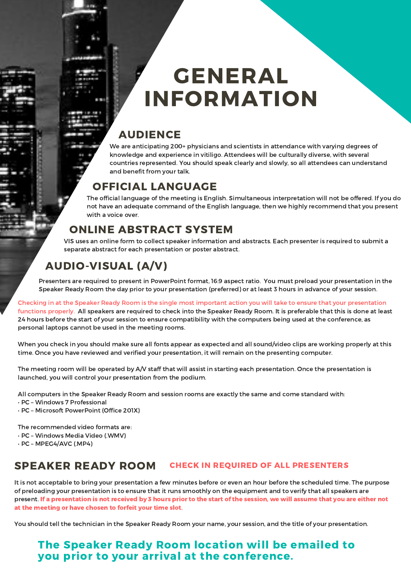# GENERAL INFORMATION

### AUDIENCE

We are anticipating 200+ physicians and scientists in attendance with varying degrees of knowledge and experience in vitiligo. Attendees will be culturally diverse, with several countries represented. You should speak clearly and slowly, so all attendees can understand and benefit from your talk.

## OFFICIAL LANGUAGE

The official language of the meeting is English. Simultaneous interpretation will not be offered. If you do not have an adequate command of the English language, then we highly recommend that you present with a voice over.

## ONLINE ABSTRACT SYSTEM

VIS uses an online form to collect speaker information and abstracts. Each presenter is required to submit a separate abstract for each presentation or poster abstract.

## AUDIO-VISUAL (A/V)

Presenters are required to present in PowerPoint format, 16:9 aspect ratio. You must preload your presentation in the Speaker Ready Room the day prior to your presentation (preferred) or at least 3 hours in advance of your session.

Checking in at the Speaker Ready Room is the single most important action you will take to ensure that your presentation functions properly. All speakers are required to check into the Speaker Ready Room. It is preferable that this is done at least 24 hours before the start of your session to ensure compatibility with the computers being used at the conference, as personal laptops cannot be used in the meeting rooms.

When you check in you should make sure all fonts appear as expected and all sound/video clips are working properly at this time. Once you have reviewed and verified your presentation, it will remain on the presenting computer.

The meeting room will be operated by A/V staff that will assist in starting each presentation. Once the presentation is launched, you will control your presentation from the podium.

All computers in the Speaker Ready Room and session rooms are exactly the same and come standard with:

- PC Windows 7 Professional
- PC Microsoft PowerPoint (Office 201X)

The recommended video formats are:

- PC Windows Media Video (.WMV)
- PC MPEG4/AVC (.MP4)

### SPEAKER READY ROOM CHECK IN REQUIRED OF ALL PRESENTERS

It is not acceptable to bring your presentation a few minutes before or even an hour before the scheduled time. The purpose of preloading your presentation is to ensure that it runs smoothly on the equipment and to verify that all speakers are present. If a presentation is not received by 3 hours prior to the start of the session, we will assume that you are either not at the meeting or have chosen to forfeit your time slot.

You should tell the technician in the Speaker Ready Room your name, your session, and the title of your presentation.

### The Speaker Ready Room location will be emailed to you prior to your arrival at the conference.